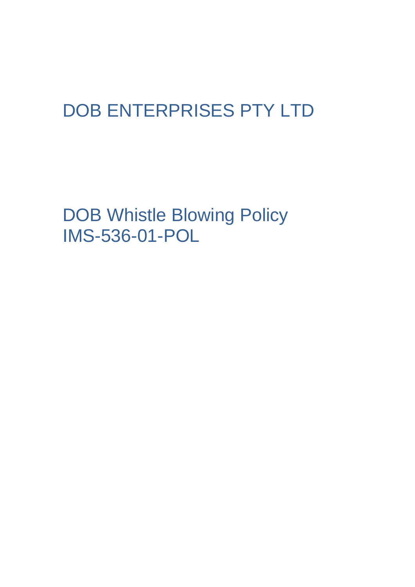# DOB ENTERPRISES PTY LTD

DOB Whistle Blowing Policy IMS-536-01-POL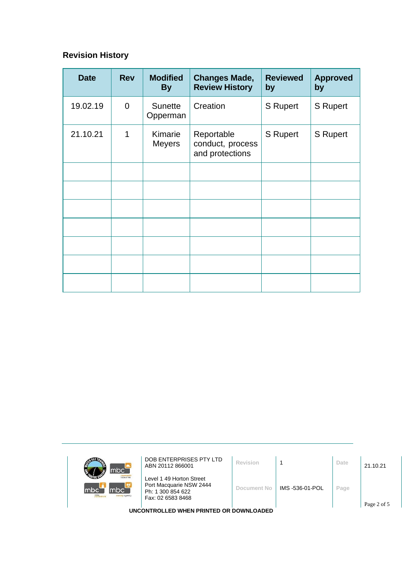# **Revision History**

| <b>Date</b> | <b>Rev</b>     | <b>Modified</b><br><b>By</b> | <b>Changes Made,</b><br><b>Review History</b>     | <b>Reviewed</b><br>by | <b>Approved</b><br>by |
|-------------|----------------|------------------------------|---------------------------------------------------|-----------------------|-----------------------|
| 19.02.19    | $\overline{0}$ | <b>Sunette</b><br>Opperman   | Creation                                          | S Rupert              | <b>S</b> Rupert       |
| 21.10.21    | 1              | Kimarie<br><b>Meyers</b>     | Reportable<br>conduct, process<br>and protections | <b>S</b> Rupert       | <b>S</b> Rupert       |
|             |                |                              |                                                   |                       |                       |
|             |                |                              |                                                   |                       |                       |
|             |                |                              |                                                   |                       |                       |
|             |                |                              |                                                   |                       |                       |
|             |                |                              |                                                   |                       |                       |
|             |                |                              |                                                   |                       |                       |
|             |                |                              |                                                   |                       |                       |

|                                         | mbc                                                        | DOB ENTERPRISES PTY LTD<br>ABN 20112 866001                                                   | Revision    |                 | Date | 21.10.21    |
|-----------------------------------------|------------------------------------------------------------|-----------------------------------------------------------------------------------------------|-------------|-----------------|------|-------------|
|                                         | <b>Inhour hire</b><br>mbc`<br>mbc<br>mle<br>sursing agency | Level 1 49 Horton Street<br>Port Macquarie NSW 2444<br>Ph: 1 300 854 622<br>Fax: 02 6583 8468 | Document No | IMS -536-01-POL | Page |             |
|                                         |                                                            |                                                                                               |             |                 |      | Page 2 of 5 |
| UNCONTROLLED WHEN PRINTED OR DOWNLOADED |                                                            |                                                                                               |             |                 |      |             |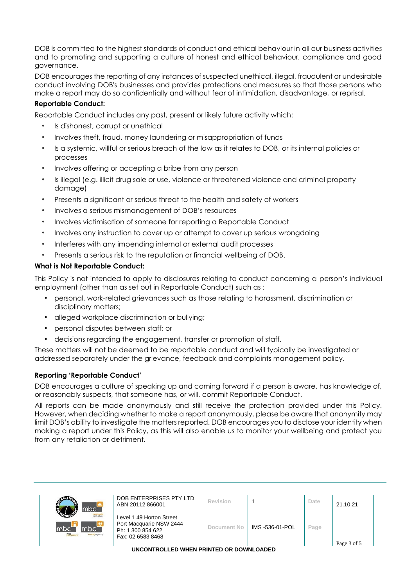DOB is committed to the highest standards of conduct and ethical behaviour in all our business activities and to promoting and supporting a culture of honest and ethical behaviour, compliance and good governance.

DOB encourages the reporting of any instances of suspected unethical, illegal, fraudulent or undesirable conduct involving DOB's businesses and provides protections and measures so that those persons who make a report may do so confidentially and without fear of intimidation, disadvantage, or reprisal.

# **Reportable Conduct:**

Reportable Conduct includes any past, present or likely future activity which:

- Is dishonest, corrupt or unethical
- Involves theft, fraud, money laundering or misappropriation of funds
- Is a systemic, willful or serious breach of the law as it relates to DOB, or its internal policies or processes
- Involves offering or accepting a bribe from any person
- Is illegal (e.g. illicit drug sale or use, violence or threatened violence and criminal property damage)
- Presents a significant or serious threat to the health and safety of workers
- Involves a serious mismanagement of DOB's resources
- Involves victimisation of someone for reporting a Reportable Conduct
- Involves any instruction to cover up or attempt to cover up serious wrongdoing
- Interferes with any impending internal or external audit processes
- Presents a serious risk to the reputation or financial wellbeing of DOB.

### **What is Not Reportable Conduct:**

This Policy is not intended to apply to disclosures relating to conduct concerning a person's individual employment (other than as set out in Reportable Conduct) such as :

- personal, work-related grievances such as those relating to harassment, discrimination or disciplinary matters;
- alleged workplace discrimination or bullying;
- personal disputes between staff; or
- decisions regarding the engagement, transfer or promotion of staff.

These matters will not be deemed to be reportable conduct and will typically be investigated or addressed separately under the grievance, feedback and complaints management policy.

#### **Reporting 'Reportable Conduct'**

DOB encourages a culture of speaking up and coming forward if a person is aware, has knowledge of, or reasonably suspects, that someone has, or will, commit Reportable Conduct.

All reports can be made anonymously and still receive the protection provided under this Policy. However, when deciding whether to make a report anonymously, please be aware that anonymity may limit DOB's ability to investigate the matters reported. DOB encourages you to disclose your identity when making a report under this Policy, as this will also enable us to monitor your wellbeing and protect you from any retaliation or detriment.

| mbc <sup>'</sup>                                     | DOB ENTERPRISES PTY LTD<br>ABN 20112 866001                                                   | Revision    |                 | Date | 21.10.21    |  |
|------------------------------------------------------|-----------------------------------------------------------------------------------------------|-------------|-----------------|------|-------------|--|
| <b>Inbour hire</b><br>mbc<br>lmbc`<br>sursing agency | Level 1 49 Horton Street<br>Port Macquarie NSW 2444<br>Ph: 1 300 854 622<br>Fax: 02 6583 8468 | Document No | IMS -536-01-POL | Page | Page 3 of 5 |  |

**UNCONTROLLED WHEN PRINTED OR DOWNLOADED**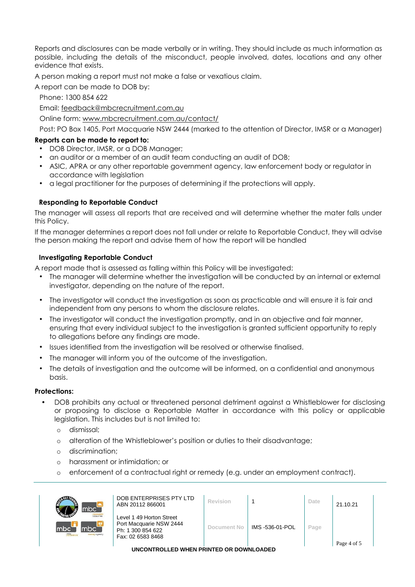Reports and disclosures can be made verbally or in writing. They should include as much information as possible, including the details of the misconduct, people involved, dates, locations and any other evidence that exists.

A person making a report must not make a false or vexatious claim.

A report can be made to DOB by:

Phone: 1300 854 622

Email: [feedback@mbcrecruitment.com.au](mailto:feedback@mbcrecruitment.com.au)

Online form: [www.mbcrecruitment.com.au/contact/](http://www.mbcrecruitment.com.au/contact/)

Post: PO Box 1405, Port Macquarie NSW 2444 (marked to the attention of Director, IMSR or a Manager)

## **Reports can be made to report to:**

- DOB Director, IMSR, or a DOB Manager;
- an auditor or a member of an audit team conducting an audit of DOB;
- ASIC, APRA or any other reportable government agency, law enforcement body or regulator in accordance with legislation
- a legal practitioner for the purposes of determining if the protections will apply.

### **Responding to Reportable Conduct**

The manager will assess all reports that are received and will determine whether the mater falls under this Policy.

If the manager determines a report does not fall under or relate to Reportable Conduct, they will advise the person making the report and advise them of how the report will be handled

### **Investigating Reportable Conduct**

A report made that is assessed as falling within this Policy will be investigated:

- The manager will determine whether the investigation will be conducted by an internal or external investigator, depending on the nature of the report.
- The investigator will conduct the investigation as soon as practicable and will ensure it is fair and independent from any persons to whom the disclosure relates.
- The investigator will conduct the investigation promptly, and in an objective and fair manner, ensuring that every individual subject to the investigation is granted sufficient opportunity to reply to allegations before any findings are made.
- Issues identified from the investigation will be resolved or otherwise finalised.
- The manager will inform you of the outcome of the investigation.
- The details of investigation and the outcome will be informed, on a confidential and anonymous basis.

#### **Protections:**

- DOB prohibits any actual or threatened personal detriment against a Whistleblower for disclosing or proposing to disclose a Reportable Matter in accordance with this policy or applicable legislation. This includes but is not limited to:
	- o dismissal;
	- o alteration of the Whistleblower's position or duties to their disadvantage;
	- o discrimination;
	- o harassment or intimidation; or
	- o enforcement of a contractual right or remedy (e.g. under an employment contract).

| mbc <sup>-</sup><br><b>Icloour hire</b><br>mbc`<br>Imbc<br>mle<br><b>TUrsing agency</b> | DOB ENTERPRISES PTY LTD<br>ABN 20112 866001                                                   | Revision           |                 | Date | 21.10.21    |  |
|-----------------------------------------------------------------------------------------|-----------------------------------------------------------------------------------------------|--------------------|-----------------|------|-------------|--|
|                                                                                         | Level 1 49 Horton Street<br>Port Macquarie NSW 2444<br>Ph: 1 300 854 622<br>Fax: 02 6583 8468 | <b>Document No</b> | IMS -536-01-POL | Page |             |  |
|                                                                                         |                                                                                               |                    |                 |      | Page 4 of 5 |  |
| UNCONTROLLED WHEN PRINTED OR DOWNLOADED                                                 |                                                                                               |                    |                 |      |             |  |